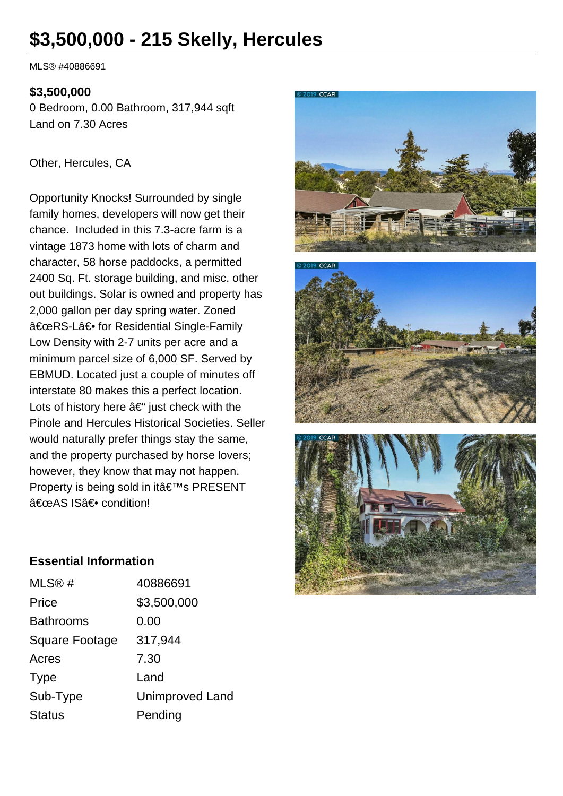# **\$3,500,000 - 215 Skelly, Hercules**

MLS® #40886691

### **\$3,500,000**

0 Bedroom, 0.00 Bathroom, 317,944 sqft Land on 7.30 Acres

#### Other, Hercules, CA

Opportunity Knocks! Surrounded by single family homes, developers will now get their chance. Included in this 7.3-acre farm is a vintage 1873 home with lots of charm and character, 58 horse paddocks, a permitted 2400 Sq. Ft. storage building, and misc. other out buildings. Solar is owned and property has 2,000 gallon per day spring water. Zoned "RS-L― for Residential Single-Family Low Density with 2-7 units per acre and a minimum parcel size of 6,000 SF. Served by EBMUD. Located just a couple of minutes off interstate 80 makes this a perfect location. Lots of history here  $\hat{a} \in \tilde{a}$  just check with the Pinole and Hercules Historical Societies. Seller would naturally prefer things stay the same, and the property purchased by horse lovers; however, they know that may not happen. Property is being sold in it's PRESENT "AS IS― condition!







### **Essential Information**

| MLS@#          | 40886691               |
|----------------|------------------------|
| Price          | \$3,500,000            |
| Bathrooms      | 0.00                   |
| Square Footage | 317,944                |
| Acres          | 7.30                   |
| Type           | Land                   |
| Sub-Type       | <b>Unimproved Land</b> |
| <b>Status</b>  | Pending                |